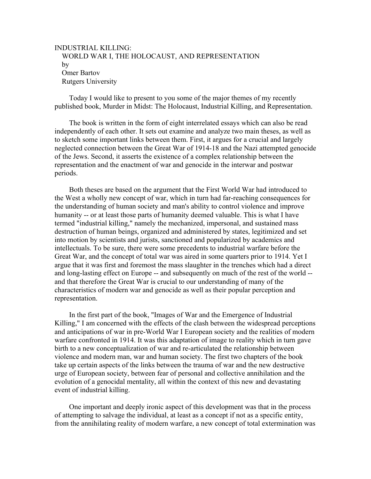## INDUSTRIAL KILLING: WORLD WAR I, THE HOLOCAUST, AND REPRESENTATION by Omer Bartov Rutgers University

 Today I would like to present to you some of the major themes of my recently published book, Murder in Midst: The Holocaust, Industrial Killing, and Representation.

 The book is written in the form of eight interrelated essays which can also be read independently of each other. It sets out examine and analyze two main theses, as well as to sketch some important links between them. First, it argues for a crucial and largely neglected connection between the Great War of 1914-18 and the Nazi attempted genocide of the Jews. Second, it asserts the existence of a complex relationship between the representation and the enactment of war and genocide in the interwar and postwar periods.

 Both theses are based on the argument that the First World War had introduced to the West a wholly new concept of war, which in turn had far-reaching consequences for the understanding of human society and man's ability to control violence and improve humanity -- or at least those parts of humanity deemed valuable. This is what I have termed "industrial killing," namely the mechanized, impersonal, and sustained mass destruction of human beings, organized and administered by states, legitimized and set into motion by scientists and jurists, sanctioned and popularized by academics and intellectuals. To be sure, there were some precedents to industrial warfare before the Great War, and the concept of total war was aired in some quarters prior to 1914. Yet I argue that it was first and foremost the mass slaughter in the trenches which had a direct and long-lasting effect on Europe -- and subsequently on much of the rest of the world - and that therefore the Great War is crucial to our understanding of many of the characteristics of modern war and genocide as well as their popular perception and representation.

 In the first part of the book, "Images of War and the Emergence of Industrial Killing," I am concerned with the effects of the clash between the widespread perceptions and anticipations of war in pre-World War I European society and the realities of modern warfare confronted in 1914. It was this adaptation of image to reality which in turn gave birth to a new conceptualization of war and re-articulated the relationship between violence and modern man, war and human society. The first two chapters of the book take up certain aspects of the links between the trauma of war and the new destructive urge of European society, between fear of personal and collective annihilation and the evolution of a genocidal mentality, all within the context of this new and devastating event of industrial killing.

 One important and deeply ironic aspect of this development was that in the process of attempting to salvage the individual, at least as a concept if not as a specific entity, from the annihilating reality of modern warfare, a new concept of total extermination was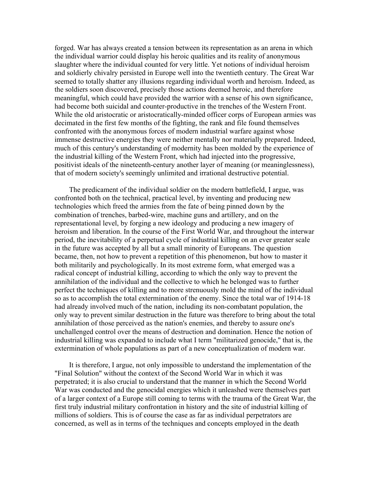forged. War has always created a tension between its representation as an arena in which the individual warrior could display his heroic qualities and its reality of anonymous slaughter where the individual counted for very little. Yet notions of individual heroism and soldierly chivalry persisted in Europe well into the twentieth century. The Great War seemed to totally shatter any illusions regarding individual worth and heroism. Indeed, as the soldiers soon discovered, precisely those actions deemed heroic, and therefore meaningful, which could have provided the warrior with a sense of his own significance, had become both suicidal and counter-productive in the trenches of the Western Front. While the old aristocratic or aristocratically-minded officer corps of European armies was decimated in the first few months of the fighting, the rank and file found themselves confronted with the anonymous forces of modern industrial warfare against whose immense destructive energies they were neither mentally nor materially prepared. Indeed, much of this century's understanding of modernity has been molded by the experience of the industrial killing of the Western Front, which had injected into the progressive, positivist ideals of the nineteenth-century another layer of meaning (or meaninglessness), that of modern society's seemingly unlimited and irrational destructive potential.

 The predicament of the individual soldier on the modern battlefield, I argue, was confronted both on the technical, practical level, by inventing and producing new technologies which freed the armies from the fate of being pinned down by the combination of trenches, barbed-wire, machine guns and artillery, and on the representational level, by forging a new ideology and producing a new imagery of heroism and liberation. In the course of the First World War, and throughout the interwar period, the inevitability of a perpetual cycle of industrial killing on an ever greater scale in the future was accepted by all but a small minority of Europeans. The question became, then, not how to prevent a repetition of this phenomenon, but how to master it both militarily and psychologically. In its most extreme form, what emerged was a radical concept of industrial killing, according to which the only way to prevent the annihilation of the individual and the collective to which he belonged was to further perfect the techniques of killing and to more strenuously mold the mind of the individual so as to accomplish the total extermination of the enemy. Since the total war of 1914-18 had already involved much of the nation, including its non-combatant population, the only way to prevent similar destruction in the future was therefore to bring about the total annihilation of those perceived as the nation's enemies, and thereby to assure one's unchallenged control over the means of destruction and domination. Hence the notion of industrial killing was expanded to include what I term "militarized genocide," that is, the extermination of whole populations as part of a new conceptualization of modern war.

 It is therefore, I argue, not only impossible to understand the implementation of the "Final Solution" without the context of the Second World War in which it was perpetrated; it is also crucial to understand that the manner in which the Second World War was conducted and the genocidal energies which it unleashed were themselves part of a larger context of a Europe still coming to terms with the trauma of the Great War, the first truly industrial military confrontation in history and the site of industrial killing of millions of soldiers. This is of course the case as far as individual perpetrators are concerned, as well as in terms of the techniques and concepts employed in the death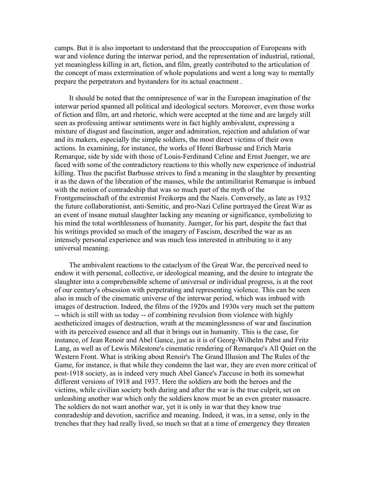camps. But it is also important to understand that the preoccupation of Europeans with war and violence during the interwar period, and the representation of industrial, rational, yet meaningless killing in art, fiction, and film, greatly contributed to the articulation of the concept of mass extermination of whole populations and went a long way to mentally prepare the perpetrators and bystanders for its actual enactment .

 It should be noted that the omnipresence of war in the European imagination of the interwar period spanned all political and ideological sectors. Moreover, even those works of fiction and film, art and rhetoric, which were accepted at the time and are largely still seen as professing antiwar sentiments were in fact highly ambivalent, expressing a mixture of disgust and fascination, anger and admiration, rejection and adulation of war and its makers, especially the simple soldiers, the most direct victims of their own actions. In examining, for instance, the works of Henri Barbusse and Erich Maria Remarque, side by side with those of Louis-Ferdinand Celine and Ernst Juenger, we are faced with some of the contradictory reactions to this wholly new experience of industrial killing. Thus the pacifist Barbusse strives to find a meaning in the slaughter by presenting it as the dawn of the liberation of the masses, while the antimilitarist Remarque is imbued with the notion of comradeship that was so much part of the myth of the Frontgemeinschaft of the extremist Freikorps and the Nazis. Conversely, as late as 1932 the future collaborationist, anti-Semitic, and pro-Nazi Celine portrayed the Great War as an event of insane mutual slaughter lacking any meaning or significance, symbolizing to his mind the total worthlessness of humanity. Juenger, for his part, despite the fact that his writings provided so much of the imagery of Fascism, described the war as an intensely personal experience and was much less interested in attributing to it any universal meaning.

 The ambivalent reactions to the cataclysm of the Great War, the perceived need to endow it with personal, collective, or ideological meaning, and the desire to integrate the slaughter into a comprehensible scheme of universal or individual progress, is at the root of our century's obsession with perpetrating and representing violence. This can be seen also in much of the cinematic universe of the interwar period, which was imbued with images of destruction. Indeed, the films of the 1920s and 1930s very much set the pattern -- which is still with us today -- of combining revulsion from violence with highly aestheticized images of destruction, wrath at the meaninglessness of war and fascination with its perceived essence and all that it brings out in humanity. This is the case, for instance, of Jean Renoir and Abel Gance, just as it is of Georg-Wilhelm Pabst and Fritz Lang, as well as of Lewis Milestone's cinematic rendering of Remarque's All Quiet on the Western Front. What is striking about Renoir's The Grand Illusion and The Rules of the Game, for instance, is that while they condemn the last war, they are even more critical of post-1918 society, as is indeed very much Abel Gance's J'accuse in both its somewhat different versions of 1918 and 1937. Here the soldiers are both the heroes and the victims, while civilian society both during and after the war is the true culprit, set on unleashing another war which only the soldiers know must be an even greater massacre. The soldiers do not want another war, yet it is only in war that they know true comradeship and devotion, sacrifice and meaning. Indeed, it was, in a sense, only in the trenches that they had really lived, so much so that at a time of emergency they threaten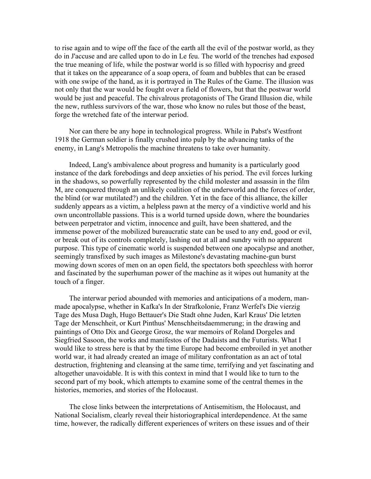to rise again and to wipe off the face of the earth all the evil of the postwar world, as they do in J'accuse and are called upon to do in Le feu. The world of the trenches had exposed the true meaning of life, while the postwar world is so filled with hypocrisy and greed that it takes on the appearance of a soap opera, of foam and bubbles that can be erased with one swipe of the hand, as it is portrayed in The Rules of the Game. The illusion was not only that the war would be fought over a field of flowers, but that the postwar world would be just and peaceful. The chivalrous protagonists of The Grand Illusion die, while the new, ruthless survivors of the war, those who know no rules but those of the beast, forge the wretched fate of the interwar period.

 Nor can there be any hope in technological progress. While in Pabst's Westfront 1918 the German soldier is finally crushed into pulp by the advancing tanks of the enemy, in Lang's Metropolis the machine threatens to take over humanity.

 Indeed, Lang's ambivalence about progress and humanity is a particularly good instance of the dark forebodings and deep anxieties of his period. The evil forces lurking in the shadows, so powerfully represented by the child molester and assassin in the film M, are conquered through an unlikely coalition of the underworld and the forces of order, the blind (or war mutilated?) and the children. Yet in the face of this alliance, the killer suddenly appears as a victim, a helpless pawn at the mercy of a vindictive world and his own uncontrollable passions. This is a world turned upside down, where the boundaries between perpetrator and victim, innocence and guilt, have been shattered, and the immense power of the mobilized bureaucratic state can be used to any end, good or evil, or break out of its controls completely, lashing out at all and sundry with no apparent purpose. This type of cinematic world is suspended between one apocalypse and another, seemingly transfixed by such images as Milestone's devastating machine-gun burst mowing down scores of men on an open field, the spectators both speechless with horror and fascinated by the superhuman power of the machine as it wipes out humanity at the touch of a finger.

 The interwar period abounded with memories and anticipations of a modern, manmade apocalypse, whether in Kafka's In der Strafkolonie, Franz Werfel's Die vierzig Tage des Musa Dagh, Hugo Bettauer's Die Stadt ohne Juden, Karl Kraus' Die letzten Tage der Menschheit, or Kurt Pinthus' Menschheitsdaemmerung; in the drawing and paintings of Otto Dix and George Grosz, the war memoirs of Roland Dorgeles and Siegfried Sasoon, the works and manifestos of the Dadaists and the Futurists. What I would like to stress here is that by the time Europe had become embroiled in yet another world war, it had already created an image of military confrontation as an act of total destruction, frightening and cleansing at the same time, terrifying and yet fascinating and altogether unavoidable. It is with this context in mind that I would like to turn to the second part of my book, which attempts to examine some of the central themes in the histories, memories, and stories of the Holocaust.

 The close links between the interpretations of Antisemitism, the Holocaust, and National Socialism, clearly reveal their historiographical interdependence. At the same time, however, the radically different experiences of writers on these issues and of their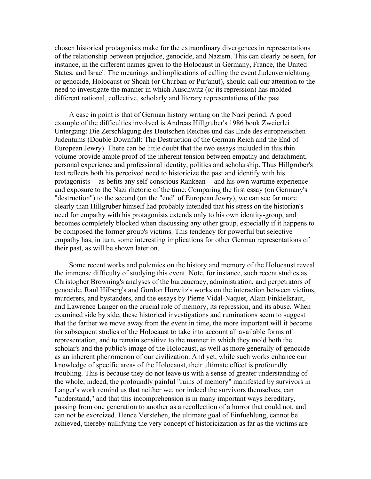chosen historical protagonists make for the extraordinary divergences in representations of the relationship between prejudice, genocide, and Nazism. This can clearly be seen, for instance, in the different names given to the Holocaust in Germany, France, the United States, and Israel. The meanings and implications of calling the event Judenvernichtung or genocide, Holocaust or Shoah (or Churban or Pur'anut), should call our attention to the need to investigate the manner in which Auschwitz (or its repression) has molded different national, collective, scholarly and literary representations of the past.

 A case in point is that of German history writing on the Nazi period. A good example of the difficulties involved is Andreas Hillgruber's 1986 book Zweierlei Untergang: Die Zerschlagung des Deutschen Reiches und das Ende des europaeischen Judentums (Double Downfall: The Destruction of the German Reich and the End of European Jewry). There can be little doubt that the two essays included in this thin volume provide ample proof of the inherent tension between empathy and detachment, personal experience and professional identity, politics and scholarship. Thus Hillgruber's text reflects both his perceived need to historicize the past and identify with his protagonists -- as befits any self-conscious Rankean -- and his own wartime experience and exposure to the Nazi rhetoric of the time. Comparing the first essay (on Germany's "destruction") to the second (on the "end" of European Jewry), we can see far more clearly than Hillgruber himself had probably intended that his stress on the historian's need for empathy with his protagonists extends only to his own identity-group, and becomes completely blocked when discussing any other group, especially if it happens to be composed the former group's victims. This tendency for powerful but selective empathy has, in turn, some interesting implications for other German representations of their past, as will be shown later on.

 Some recent works and polemics on the history and memory of the Holocaust reveal the immense difficulty of studying this event. Note, for instance, such recent studies as Christopher Browning's analyses of the bureaucracy, administration, and perpetrators of genocide, Raul Hilberg's and Gordon Horwitz's works on the interaction between victims, murderers, and bystanders, and the essays by Pierre Vidal-Naquet, Alain Finkielkraut, and Lawrence Langer on the crucial role of memory, its repression, and its abuse. When examined side by side, these historical investigations and ruminations seem to suggest that the farther we move away from the event in time, the more important will it become for subsequent studies of the Holocaust to take into account all available forms of representation, and to remain sensitive to the manner in which they mold both the scholar's and the public's image of the Holocaust, as well as more generally of genocide as an inherent phenomenon of our civilization. And yet, while such works enhance our knowledge of specific areas of the Holocaust, their ultimate effect is profoundly troubling. This is because they do not leave us with a sense of greater understanding of the whole; indeed, the profoundly painful "ruins of memory" manifested by survivors in Langer's work remind us that neither we, nor indeed the survivors themselves, can "understand," and that this incomprehension is in many important ways hereditary, passing from one generation to another as a recollection of a horror that could not, and can not be exorcized. Hence Verstehen, the ultimate goal of Einfuehlung, cannot be achieved, thereby nullifying the very concept of historicization as far as the victims are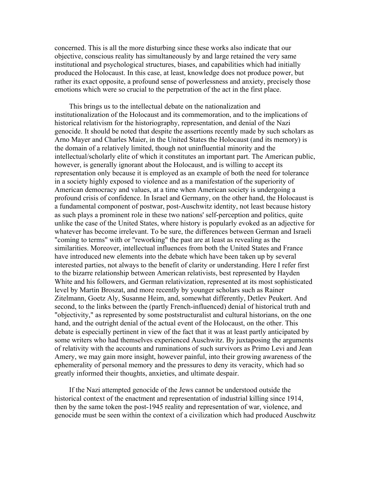concerned. This is all the more disturbing since these works also indicate that our objective, conscious reality has simultaneously by and large retained the very same institutional and psychological structures, biases, and capabilities which had initially produced the Holocaust. In this case, at least, knowledge does not produce power, but rather its exact opposite, a profound sense of powerlessness and anxiety, precisely those emotions which were so crucial to the perpetration of the act in the first place.

 This brings us to the intellectual debate on the nationalization and institutionalization of the Holocaust and its commemoration, and to the implications of historical relativism for the historiography, representation, and denial of the Nazi genocide. It should be noted that despite the assertions recently made by such scholars as Arno Mayer and Charles Maier, in the United States the Holocaust (and its memory) is the domain of a relatively limited, though not uninfluential minority and the intellectual/scholarly elite of which it constitutes an important part. The American public, however, is generally ignorant about the Holocaust, and is willing to accept its representation only because it is employed as an example of both the need for tolerance in a society highly exposed to violence and as a manifestation of the superiority of American democracy and values, at a time when American society is undergoing a profound crisis of confidence. In Israel and Germany, on the other hand, the Holocaust is a fundamental component of postwar, post-Auschwitz identity, not least because history as such plays a prominent role in these two nations' self-perception and politics, quite unlike the case of the United States, where history is popularly evoked as an adjective for whatever has become irrelevant. To be sure, the differences between German and Israeli "coming to terms" with or "reworking" the past are at least as revealing as the similarities. Moreover, intellectual influences from both the United States and France have introduced new elements into the debate which have been taken up by several interested parties, not always to the benefit of clarity or understanding. Here I refer first to the bizarre relationship between American relativists, best represented by Hayden White and his followers, and German relativization, represented at its most sophisticated level by Martin Broszat, and more recently by younger scholars such as Rainer Zitelmann, Goetz Aly, Susanne Heim, and, somewhat differently, Detlev Peukert. And second, to the links between the (partly French-influenced) denial of historical truth and "objectivity," as represented by some poststructuralist and cultural historians, on the one hand, and the outright denial of the actual event of the Holocaust, on the other. This debate is especially pertinent in view of the fact that it was at least partly anticipated by some writers who had themselves experienced Auschwitz. By juxtaposing the arguments of relativity with the accounts and ruminations of such survivors as Primo Levi and Jean Amery, we may gain more insight, however painful, into their growing awareness of the ephemerality of personal memory and the pressures to deny its veracity, which had so greatly informed their thoughts, anxieties, and ultimate despair.

 If the Nazi attempted genocide of the Jews cannot be understood outside the historical context of the enactment and representation of industrial killing since 1914, then by the same token the post-1945 reality and representation of war, violence, and genocide must be seen within the context of a civilization which had produced Auschwitz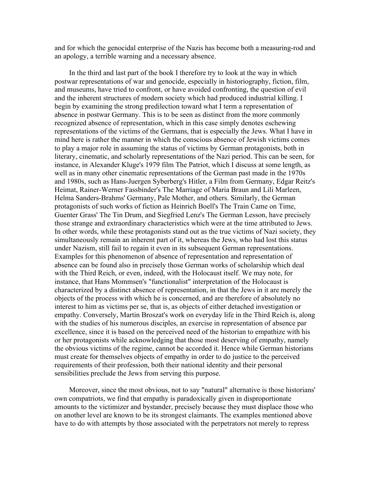and for which the genocidal enterprise of the Nazis has become both a measuring-rod and an apology, a terrible warning and a necessary absence.

 In the third and last part of the book I therefore try to look at the way in which postwar representations of war and genocide, especially in historiography, fiction, film, and museums, have tried to confront, or have avoided confronting, the question of evil and the inherent structures of modern society which had produced industrial killing. I begin by examining the strong predilection toward what I term a representation of absence in postwar Germany. This is to be seen as distinct from the more commonly recognized absence of representation, which in this case simply denotes eschewing representations of the victims of the Germans, that is especially the Jews. What I have in mind here is rather the manner in which the conscious absence of Jewish victims comes to play a major role in assuming the status of victims by German protagonists, both in literary, cinematic, and scholarly representations of the Nazi period. This can be seen, for instance, in Alexander Kluge's 1979 film The Patriot, which I discuss at some length, as well as in many other cinematic representations of the German past made in the 1970s and 1980s, such as Hans-Juergen Syberberg's Hitler, a Film from Germany, Edgar Reitz's Heimat, Rainer-Werner Fassbinder's The Marriage of Maria Braun and Lili Marleen, Helma Sanders-Brahms' Germany, Pale Mother, and others. Similarly, the German protagonists of such works of fiction as Heinrich Boell's The Train Came on Time, Guenter Grass' The Tin Drum, and Siegfried Lenz's The German Lesson, have precisely those strange and extraordinary characteristics which were at the time attributed to Jews. In other words, while these protagonists stand out as the true victims of Nazi society, they simultaneously remain an inherent part of it, whereas the Jews, who had lost this status under Nazism, still fail to regain it even in its subsequent German representations. Examples for this phenomenon of absence of representation and representation of absence can be found also in precisely those German works of scholarship which deal with the Third Reich, or even, indeed, with the Holocaust itself. We may note, for instance, that Hans Mommsen's "functionalist" interpretation of the Holocaust is characterized by a distinct absence of representation, in that the Jews in it are merely the objects of the process with which he is concerned, and are therefore of absolutely no interest to him as victims per se, that is, as objects of either detached investigation or empathy. Conversely, Martin Broszat's work on everyday life in the Third Reich is, along with the studies of his numerous disciples, an exercise in representation of absence par excellence, since it is based on the perceived need of the historian to empathize with his or her protagonists while acknowledging that those most deserving of empathy, namely the obvious victims of the regime, cannot be accorded it. Hence while German historians must create for themselves objects of empathy in order to do justice to the perceived requirements of their profession, both their national identity and their personal sensibilities preclude the Jews from serving this purpose.

 Moreover, since the most obvious, not to say "natural" alternative is those historians' own compatriots, we find that empathy is paradoxically given in disproportionate amounts to the victimizer and bystander, precisely because they must displace those who on another level are known to be its strongest claimants. The examples mentioned above have to do with attempts by those associated with the perpetrators not merely to repress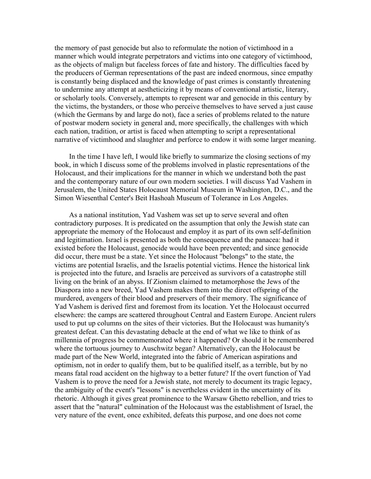the memory of past genocide but also to reformulate the notion of victimhood in a manner which would integrate perpetrators and victims into one category of victimhood, as the objects of malign but faceless forces of fate and history. The difficulties faced by the producers of German representations of the past are indeed enormous, since empathy is constantly being displaced and the knowledge of past crimes is constantly threatening to undermine any attempt at aestheticizing it by means of conventional artistic, literary, or scholarly tools. Conversely, attempts to represent war and genocide in this century by the victims, the bystanders, or those who perceive themselves to have served a just cause (which the Germans by and large do not), face a series of problems related to the nature of postwar modern society in general and, more specifically, the challenges with which each nation, tradition, or artist is faced when attempting to script a representational narrative of victimhood and slaughter and perforce to endow it with some larger meaning.

 In the time I have left, I would like briefly to summarize the closing sections of my book, in which I discuss some of the problems involved in plastic representations of the Holocaust, and their implications for the manner in which we understand both the past and the contemporary nature of our own modern societies. I will discuss Yad Vashem in Jerusalem, the United States Holocaust Memorial Museum in Washington, D.C., and the Simon Wiesenthal Center's Beit Hashoah Museum of Tolerance in Los Angeles.

 As a national institution, Yad Vashem was set up to serve several and often contradictory purposes. It is predicated on the assumption that only the Jewish state can appropriate the memory of the Holocaust and employ it as part of its own self-definition and legitimation. Israel is presented as both the consequence and the panacea: had it existed before the Holocaust, genocide would have been prevented; and since genocide did occur, there must be a state. Yet since the Holocaust "belongs" to the state, the victims are potential Israelis, and the Israelis potential victims. Hence the historical link is projected into the future, and Israelis are perceived as survivors of a catastrophe still living on the brink of an abyss. If Zionism claimed to metamorphose the Jews of the Diaspora into a new breed, Yad Vashem makes them into the direct offspring of the murdered, avengers of their blood and preservers of their memory. The significance of Yad Vashem is derived first and foremost from its location. Yet the Holocaust occurred elsewhere: the camps are scattered throughout Central and Eastern Europe. Ancient rulers used to put up columns on the sites of their victories. But the Holocaust was humanity's greatest defeat. Can this devastating debacle at the end of what we like to think of as millennia of progress be commemorated where it happened? Or should it be remembered where the tortuous journey to Auschwitz began? Alternatively, can the Holocaust be made part of the New World, integrated into the fabric of American aspirations and optimism, not in order to qualify them, but to be qualified itself, as a terrible, but by no means fatal road accident on the highway to a better future? If the overt function of Yad Vashem is to prove the need for a Jewish state, not merely to document its tragic legacy, the ambiguity of the event's "lessons" is nevertheless evident in the uncertainty of its rhetoric. Although it gives great prominence to the Warsaw Ghetto rebellion, and tries to assert that the "natural" culmination of the Holocaust was the establishment of Israel, the very nature of the event, once exhibited, defeats this purpose, and one does not come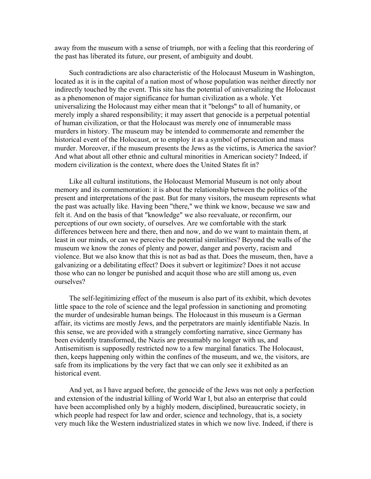away from the museum with a sense of triumph, nor with a feeling that this reordering of the past has liberated its future, our present, of ambiguity and doubt.

 Such contradictions are also characteristic of the Holocaust Museum in Washington, located as it is in the capital of a nation most of whose population was neither directly nor indirectly touched by the event. This site has the potential of universalizing the Holocaust as a phenomenon of major significance for human civilization as a whole. Yet universalizing the Holocaust may either mean that it "belongs" to all of humanity, or merely imply a shared responsibility; it may assert that genocide is a perpetual potential of human civilization, or that the Holocaust was merely one of innumerable mass murders in history. The museum may be intended to commemorate and remember the historical event of the Holocaust, or to employ it as a symbol of persecution and mass murder. Moreover, if the museum presents the Jews as the victims, is America the savior? And what about all other ethnic and cultural minorities in American society? Indeed, if modern civilization is the context, where does the United States fit in?

 Like all cultural institutions, the Holocaust Memorial Museum is not only about memory and its commemoration: it is about the relationship between the politics of the present and interpretations of the past. But for many visitors, the museum represents what the past was actually like. Having been "there," we think we know, because we saw and felt it. And on the basis of that "knowledge" we also reevaluate, or reconfirm, our perceptions of our own society, of ourselves. Are we comfortable with the stark differences between here and there, then and now, and do we want to maintain them, at least in our minds, or can we perceive the potential similarities? Beyond the walls of the museum we know the zones of plenty and power, danger and poverty, racism and violence. But we also know that this is not as bad as that. Does the museum, then, have a galvanizing or a debilitating effect? Does it subvert or legitimize? Does it not accuse those who can no longer be punished and acquit those who are still among us, even ourselves?

 The self-legitimizing effect of the museum is also part of its exhibit, which devotes little space to the role of science and the legal profession in sanctioning and promoting the murder of undesirable human beings. The Holocaust in this museum is a German affair, its victims are mostly Jews, and the perpetrators are mainly identifiable Nazis. In this sense, we are provided with a strangely comforting narrative, since Germany has been evidently transformed, the Nazis are presumably no longer with us, and Antisemitism is supposedly restricted now to a few marginal fanatics. The Holocaust, then, keeps happening only within the confines of the museum, and we, the visitors, are safe from its implications by the very fact that we can only see it exhibited as an historical event.

 And yet, as I have argued before, the genocide of the Jews was not only a perfection and extension of the industrial killing of World War I, but also an enterprise that could have been accomplished only by a highly modern, disciplined, bureaucratic society, in which people had respect for law and order, science and technology, that is, a society very much like the Western industrialized states in which we now live. Indeed, if there is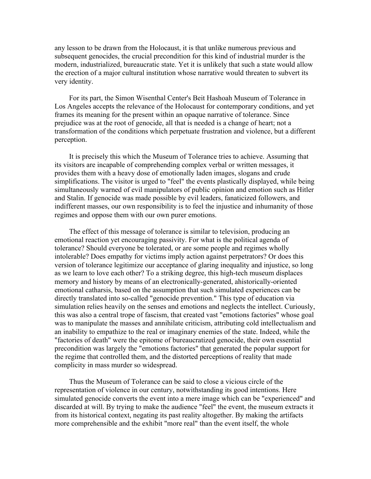any lesson to be drawn from the Holocaust, it is that unlike numerous previous and subsequent genocides, the crucial precondition for this kind of industrial murder is the modern, industrialized, bureaucratic state. Yet it is unlikely that such a state would allow the erection of a major cultural institution whose narrative would threaten to subvert its very identity.

 For its part, the Simon Wisenthal Center's Beit Hashoah Museum of Tolerance in Los Angeles accepts the relevance of the Holocaust for contemporary conditions, and yet frames its meaning for the present within an opaque narrative of tolerance. Since prejudice was at the root of genocide, all that is needed is a change of heart; not a transformation of the conditions which perpetuate frustration and violence, but a different perception.

 It is precisely this which the Museum of Tolerance tries to achieve. Assuming that its visitors are incapable of comprehending complex verbal or written messages, it provides them with a heavy dose of emotionally laden images, slogans and crude simplifications. The visitor is urged to "feel" the events plastically displayed, while being simultaneously warned of evil manipulators of public opinion and emotion such as Hitler and Stalin. If genocide was made possible by evil leaders, fanaticized followers, and indifferent masses, our own responsibility is to feel the injustice and inhumanity of those regimes and oppose them with our own purer emotions.

 The effect of this message of tolerance is similar to television, producing an emotional reaction yet encouraging passivity. For what is the political agenda of tolerance? Should everyone be tolerated, or are some people and regimes wholly intolerable? Does empathy for victims imply action against perpetrators? Or does this version of tolerance legitimize our acceptance of glaring inequality and injustice, so long as we learn to love each other? To a striking degree, this high-tech museum displaces memory and history by means of an electronically-generated, ahistorically-oriented emotional catharsis, based on the assumption that such simulated experiences can be directly translated into so-called "genocide prevention." This type of education via simulation relies heavily on the senses and emotions and neglects the intellect. Curiously, this was also a central trope of fascism, that created vast "emotions factories" whose goal was to manipulate the masses and annihilate criticism, attributing cold intellectualism and an inability to empathize to the real or imaginary enemies of the state. Indeed, while the "factories of death" were the epitome of bureaucratized genocide, their own essential precondition was largely the "emotions factories" that generated the popular support for the regime that controlled them, and the distorted perceptions of reality that made complicity in mass murder so widespread.

 Thus the Museum of Tolerance can be said to close a vicious circle of the representation of violence in our century, notwithstanding its good intentions. Here simulated genocide converts the event into a mere image which can be "experienced" and discarded at will. By trying to make the audience "feel" the event, the museum extracts it from its historical context, negating its past reality altogether. By making the artifacts more comprehensible and the exhibit "more real" than the event itself, the whole